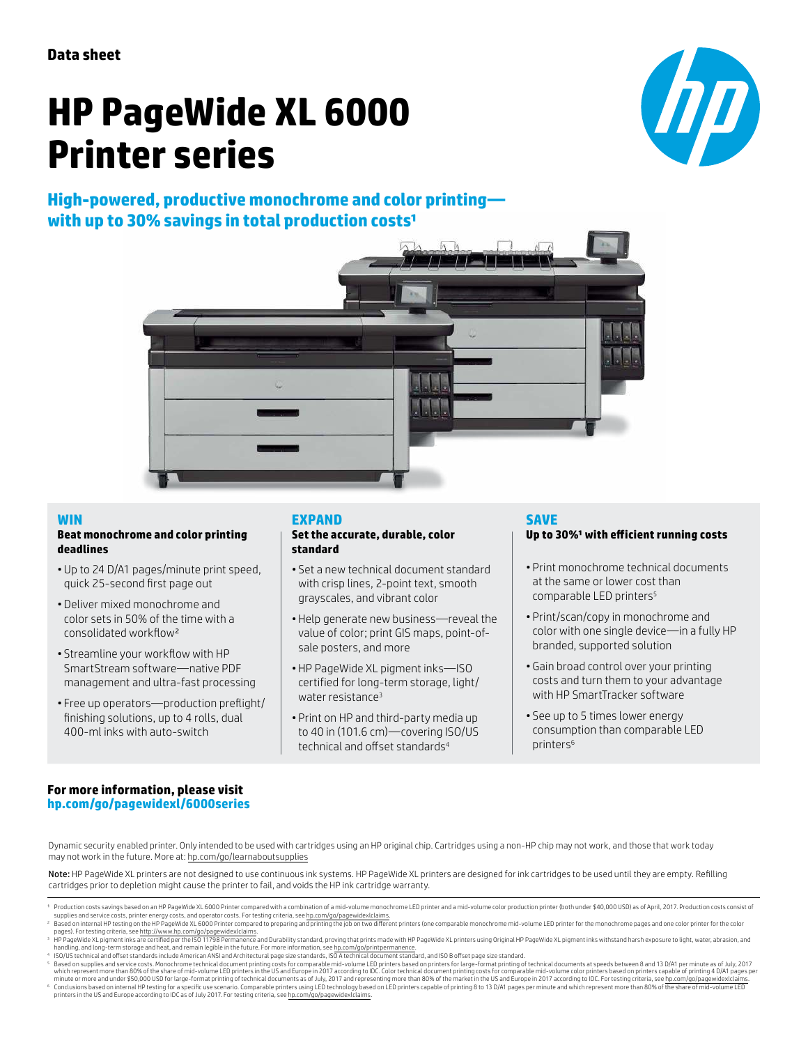# **HP PageWide XL 6000 Printer series**

## **High-powered, productive monochrome and color printing** with up to 30% savings in total production costs<sup>1</sup>





### **WIN**

#### **Beat monochrome and color printing deadlines**

- Up to 24 D/A1 pages/minute print speed, quick 25-second first page out
- Deliver mixed monochrome and color sets in 50% of the time with a consolidated workflow²
- Streamline your workflow with HP SmartStream software—native PDF management and ultra-fast processing
- Free up operators—production preflight/ finishing solutions, up to 4 rolls, dual 400-ml inks with auto-switch

## **EXPAND**

#### **Set the accurate, durable, color standard**

- Set a new technical document standard with crisp lines, 2-point text, smooth grayscales, and vibrant color
- Help generate new business—reveal the value of color; print GIS maps, point-ofsale posters, and more
- HP PageWide XL pigment inks—ISO certified for long-term storage, light/ water resistance<sup>3</sup>
- Print on HP and third-party media up to 40 in (101.6 cm)—covering ISO/US technical and offset standards<sup>4</sup>

## **SAVE**

## Up to 30%<sup>1</sup> with efficient running costs

- Print monochrome technical documents at the same or lower cost than comparable LED printers<sup>5</sup>
- Print/scan/copy in monochrome and color with one single device—in a fully HP branded, supported solution
- Gain broad control over your printing costs and turn them to your advantage with HP SmartTracker software
- See up to 5 times lower energy consumption than comparable LED printers<sup>6</sup>

## **For more information, please visit [hp.com/go/pagewidexl/](http://www.hp.com/go/pagewidexl/5000series)6000series**

Dynamic security enabled printer. Only intended to be used with cartridges using an HP original chip. Cartridges using a non-HP chip may not work, and those that work today may not work in the future. More at: [hp.com/go/learnaboutsupplies](http://hp.com/go/learnaboutsupplies)

Note: HP PageWide XL printers are not designed to use continuous ink systems. HP PageWide XL printers are designed for ink cartridges to be used until they are empty. Refilling cartridges prior to depletion might cause the printer to fail, and voids the HP ink cartridge warranty.

- supplies and service costs, printer energy costs, and operator costs. For testing criteria, see [hp.com/go/pagewidexlclaims.](http://hp.com/go/pagewidexlclaims)<br>Based on internal HP testing on the HP PageWide XL 6000 Printer compared to preparing and printing
- 
- 

Production costs savings based on an HP PageWide XL 6000 Printer compared with a combination of a mid-volume monochrome LED printer and a mid-volume color production printer (both under \$40,000 USD) as of April, 2017. Prod

Pased on internal HP Repeating orithmal particles on the HP and Which restricts in the individual document of the monothrome mid-volume LED printer for the monochrome pages and one color printer for the color<br>Pages). For t Conclusions based on internal HP testing for a specific use scenario. Comparable printers using LED technology based on LED printers capable of printing 8 to 13 D/A1 pages per minute and which represent more than 80% of th printers in the US and Europe according to IDC as of July 2017. For testing criteria, see [hp.com/go/pagewidexlclaims](http://hp.com/go/pagewidexlclaims).